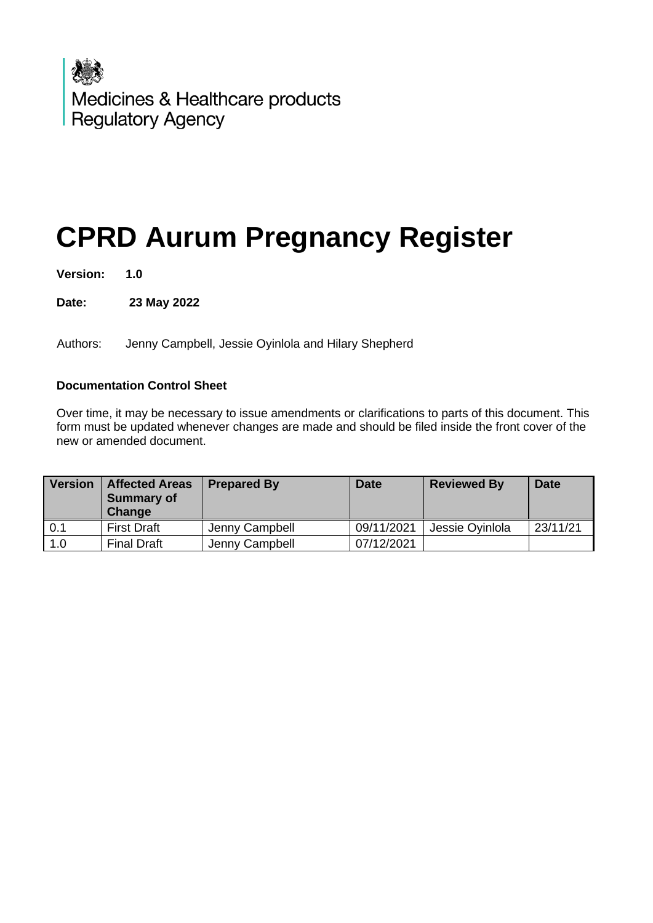

# **CPRD Aurum Pregnancy Register**

**Version: 1.0**

**Date: 23 May 2022**

Authors: Jenny Campbell, Jessie Oyinlola and Hilary Shepherd

## **Documentation Control Sheet**

Over time, it may be necessary to issue amendments or clarifications to parts of this document. This form must be updated whenever changes are made and should be filed inside the front cover of the new or amended document.

| <b>Version</b> | <b>Affected Areas</b><br><b>Summary of</b><br>Change | <b>Prepared By</b> | <b>Date</b> | <b>Reviewed By</b> | <b>Date</b> |
|----------------|------------------------------------------------------|--------------------|-------------|--------------------|-------------|
| 0.1            | <b>First Draft</b>                                   | Jenny Campbell     | 09/11/2021  | Jessie Ovinlola    | 23/11/21    |
| 1.0            | <b>Final Draft</b>                                   | Jenny Campbell     | 07/12/2021  |                    |             |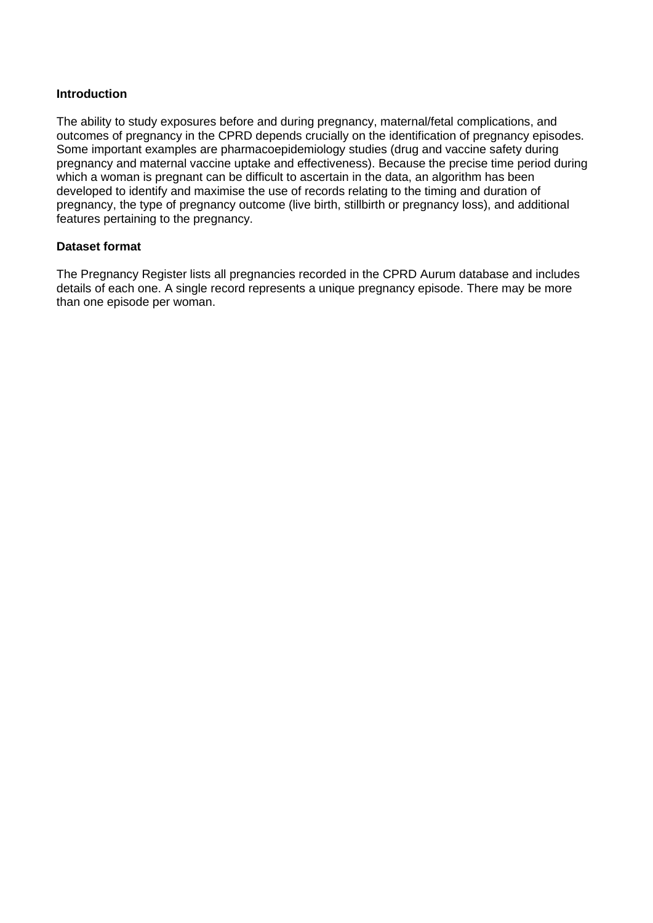## **Introduction**

The ability to study exposures before and during pregnancy, maternal/fetal complications, and outcomes of pregnancy in the CPRD depends crucially on the identification of pregnancy episodes. Some important examples are pharmacoepidemiology studies (drug and vaccine safety during pregnancy and maternal vaccine uptake and effectiveness). Because the precise time period during which a woman is pregnant can be difficult to ascertain in the data, an algorithm has been developed to identify and maximise the use of records relating to the timing and duration of pregnancy, the type of pregnancy outcome (live birth, stillbirth or pregnancy loss), and additional features pertaining to the pregnancy.

## **Dataset format**

The Pregnancy Register lists all pregnancies recorded in the CPRD Aurum database and includes details of each one. A single record represents a unique pregnancy episode. There may be more than one episode per woman.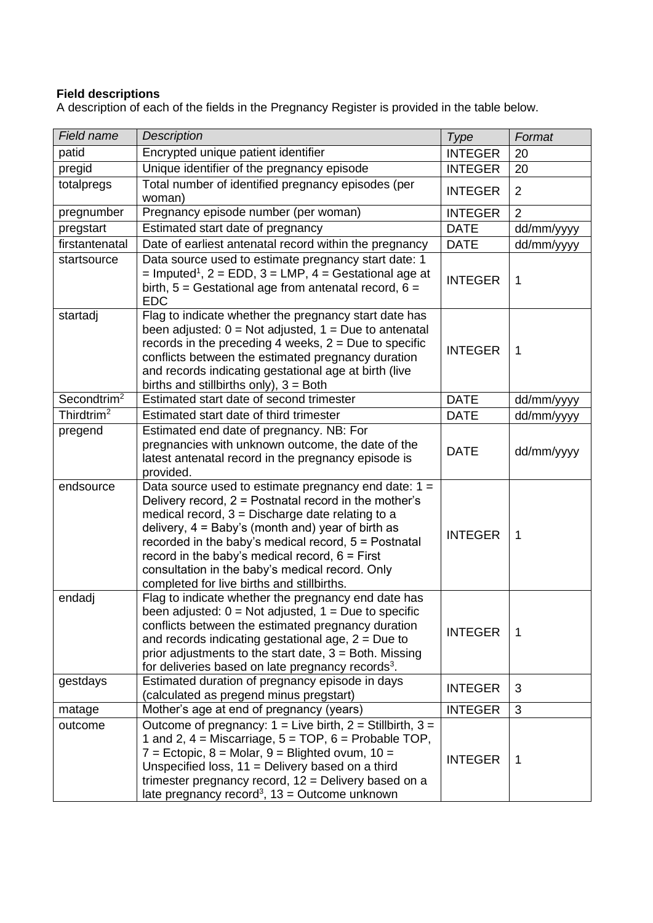# **Field descriptions**

A description of each of the fields in the Pregnancy Register is provided in the table below.

| Field name              | <b>Description</b>                                                                                                                                                                                                                                                                                                                                                                                                                                                                               | Type           | Format         |
|-------------------------|--------------------------------------------------------------------------------------------------------------------------------------------------------------------------------------------------------------------------------------------------------------------------------------------------------------------------------------------------------------------------------------------------------------------------------------------------------------------------------------------------|----------------|----------------|
| patid                   | Encrypted unique patient identifier                                                                                                                                                                                                                                                                                                                                                                                                                                                              | <b>INTEGER</b> | 20             |
| pregid                  | Unique identifier of the pregnancy episode                                                                                                                                                                                                                                                                                                                                                                                                                                                       | <b>INTEGER</b> | 20             |
| totalpregs              | Total number of identified pregnancy episodes (per<br>woman)                                                                                                                                                                                                                                                                                                                                                                                                                                     |                | $\overline{2}$ |
| pregnumber              | Pregnancy episode number (per woman)                                                                                                                                                                                                                                                                                                                                                                                                                                                             | <b>INTEGER</b> | $\overline{2}$ |
| pregstart               | Estimated start date of pregnancy                                                                                                                                                                                                                                                                                                                                                                                                                                                                | <b>DATE</b>    | dd/mm/yyyy     |
| firstantenatal          | Date of earliest antenatal record within the pregnancy                                                                                                                                                                                                                                                                                                                                                                                                                                           | <b>DATE</b>    | dd/mm/yyyy     |
| startsource             | Data source used to estimate pregnancy start date: 1<br>$=$ Imputed <sup>1</sup> , 2 = EDD, 3 = LMP, 4 = Gestational age at<br>birth, $5 =$ Gestational age from antenatal record, $6 =$<br><b>EDC</b>                                                                                                                                                                                                                                                                                           | <b>INTEGER</b> | $\mathbf 1$    |
| startadj                | Flag to indicate whether the pregnancy start date has<br>been adjusted: $0 = Not$ adjusted, $1 = Due$ to antenatal<br>records in the preceding 4 weeks, $2 =$ Due to specific<br>conflicts between the estimated pregnancy duration<br>and records indicating gestational age at birth (live<br>births and stillbirths only), $3 =$ Both                                                                                                                                                         | <b>INTEGER</b> | $\mathbf 1$    |
| Secondtrim <sup>2</sup> | Estimated start date of second trimester                                                                                                                                                                                                                                                                                                                                                                                                                                                         | <b>DATE</b>    | dd/mm/yyyy     |
| Thirdtrim <sup>2</sup>  | Estimated start date of third trimester                                                                                                                                                                                                                                                                                                                                                                                                                                                          | <b>DATE</b>    | dd/mm/yyyy     |
| pregend                 | Estimated end date of pregnancy. NB: For<br>pregnancies with unknown outcome, the date of the<br>latest antenatal record in the pregnancy episode is<br>provided.                                                                                                                                                                                                                                                                                                                                | <b>DATE</b>    | dd/mm/yyyy     |
| endsource<br>endadj     | Data source used to estimate pregnancy end date: $1 =$<br>Delivery record, 2 = Postnatal record in the mother's<br>medical record, $3 =$ Discharge date relating to a<br>delivery, $4 =$ Baby's (month and) year of birth as<br>recorded in the baby's medical record, 5 = Postnatal<br>record in the baby's medical record, $6 =$ First<br>consultation in the baby's medical record. Only<br>completed for live births and stillbirths.<br>Flag to indicate whether the pregnancy end date has | <b>INTEGER</b> | $\mathbf 1$    |
|                         | been adjusted: $0 = Not$ adjusted, $1 = Due$ to specific<br>conflicts between the estimated pregnancy duration<br>and records indicating gestational age, $2 = Due to$<br>prior adjustments to the start date, $3 =$ Both. Missing<br>for deliveries based on late pregnancy records <sup>3</sup> .                                                                                                                                                                                              | <b>INTEGER</b> | $\mathbf 1$    |
| gestdays                | Estimated duration of pregnancy episode in days<br>(calculated as pregend minus pregstart)                                                                                                                                                                                                                                                                                                                                                                                                       | <b>INTEGER</b> | 3              |
| matage                  | Mother's age at end of pregnancy (years)                                                                                                                                                                                                                                                                                                                                                                                                                                                         | <b>INTEGER</b> | 3              |
| outcome                 | Outcome of pregnancy: $1 =$ Live birth, $2 =$ Stillbirth, $3 =$<br>1 and 2, $4 =$ Miscarriage, $5 = TOP$ , $6 =$ Probable TOP,<br>$7 =$ Ectopic, $8 =$ Molar, $9 =$ Blighted ovum, $10 =$<br>Unspecified loss, $11$ = Delivery based on a third<br>trimester pregnancy record, 12 = Delivery based on a<br>late pregnancy record <sup>3</sup> , $13$ = Outcome unknown                                                                                                                           | <b>INTEGER</b> | $\mathbf 1$    |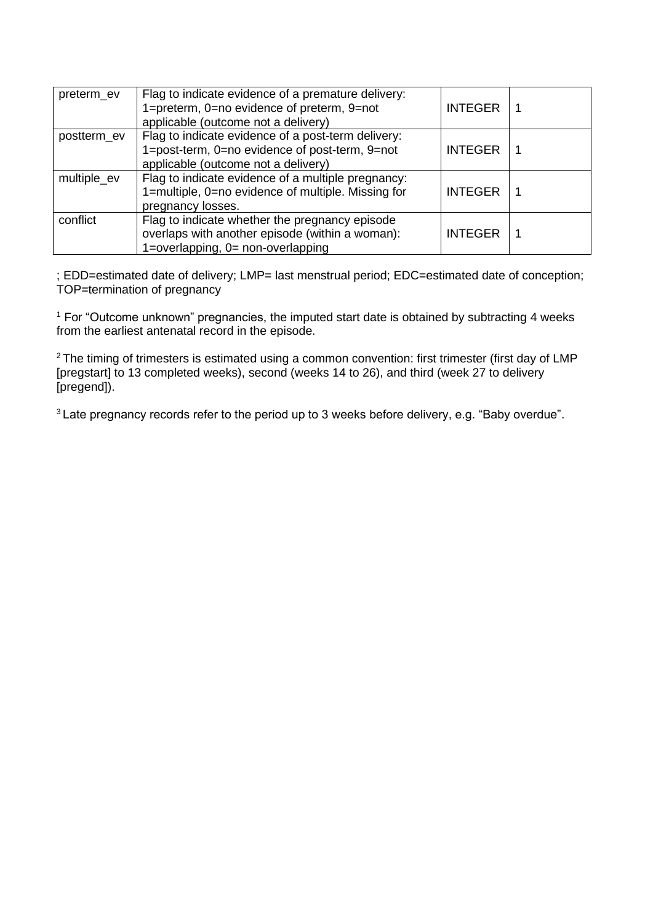| preterm_ev  | Flag to indicate evidence of a premature delivery:<br>1=preterm, 0=no evidence of preterm, 9=not<br>applicable (outcome not a delivery)     | <b>INTEGER</b> |  |
|-------------|---------------------------------------------------------------------------------------------------------------------------------------------|----------------|--|
| postterm ev | Flag to indicate evidence of a post-term delivery:<br>1=post-term, 0=no evidence of post-term, 9=not<br>applicable (outcome not a delivery) | <b>INTEGER</b> |  |
| multiple_ev | Flag to indicate evidence of a multiple pregnancy:<br>1=multiple, 0=no evidence of multiple. Missing for<br>pregnancy losses.               | <b>INTEGER</b> |  |
| conflict    | Flag to indicate whether the pregnancy episode<br>overlaps with another episode (within a woman):<br>1=overlapping, 0= non-overlapping      | <b>INTEGER</b> |  |

; EDD=estimated date of delivery; LMP= last menstrual period; EDC=estimated date of conception; TOP=termination of pregnancy

<sup>1</sup> For "Outcome unknown" pregnancies, the imputed start date is obtained by subtracting 4 weeks from the earliest antenatal record in the episode.

<sup>2</sup> The timing of trimesters is estimated using a common convention: first trimester (first day of LMP [pregstart] to 13 completed weeks), second (weeks 14 to 26), and third (week 27 to delivery [pregend]).

<sup>3</sup> Late pregnancy records refer to the period up to 3 weeks before delivery, e.g. "Baby overdue".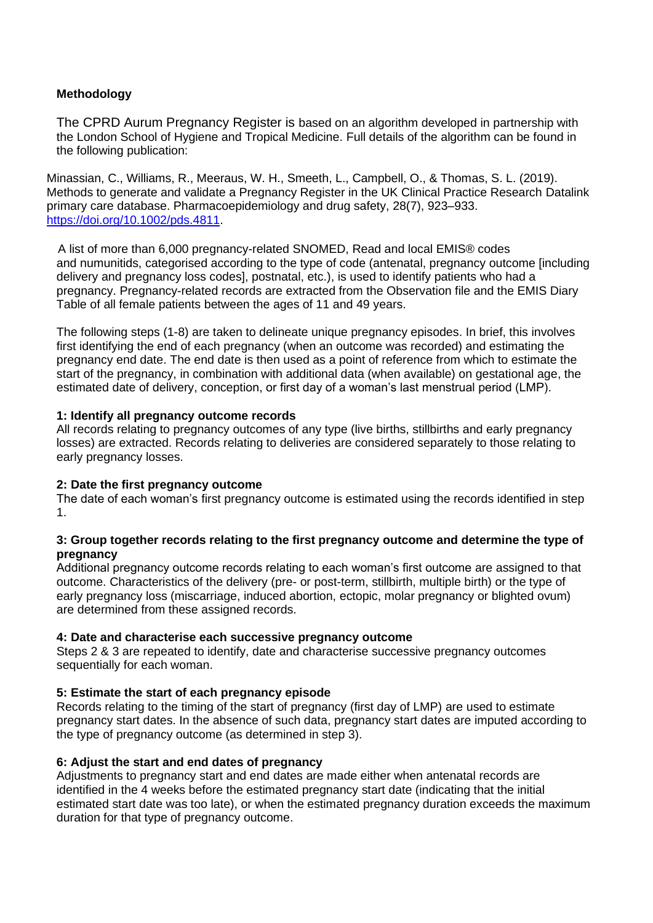# **Methodology**

The CPRD Aurum Pregnancy Register is based on an algorithm developed in partnership with the London School of Hygiene and Tropical Medicine. Full details of the algorithm can be found in the following publication:

Minassian, C., Williams, R., Meeraus, W. H., Smeeth, L., Campbell, O., & Thomas, S. L. (2019). Methods to generate and validate a Pregnancy Register in the UK Clinical Practice Research Datalink primary care database. Pharmacoepidemiology and drug safety, 28(7), 923–933. [https://doi.org/10.1002/pds.4811.](https://doi.org/10.1002/pds.4811)

A list of more than 6,000 pregnancy-related SNOMED, Read and local EMIS® codes and numunitids, categorised according to the type of code (antenatal, pregnancy outcome [including delivery and pregnancy loss codes], postnatal, etc.), is used to identify patients who had a pregnancy. Pregnancy-related records are extracted from the Observation file and the EMIS Diary Table of all female patients between the ages of 11 and 49 years.

The following steps (1-8) are taken to delineate unique pregnancy episodes. In brief, this involves first identifying the end of each pregnancy (when an outcome was recorded) and estimating the pregnancy end date. The end date is then used as a point of reference from which to estimate the start of the pregnancy, in combination with additional data (when available) on gestational age, the estimated date of delivery, conception, or first day of a woman's last menstrual period (LMP).

## **1: Identify all pregnancy outcome records**

All records relating to pregnancy outcomes of any type (live births, stillbirths and early pregnancy losses) are extracted. Records relating to deliveries are considered separately to those relating to early pregnancy losses.

#### **2: Date the first pregnancy outcome**

The date of each woman's first pregnancy outcome is estimated using the records identified in step 1.

#### **3: Group together records relating to the first pregnancy outcome and determine the type of pregnancy**

Additional pregnancy outcome records relating to each woman's first outcome are assigned to that outcome. Characteristics of the delivery (pre- or post-term, stillbirth, multiple birth) or the type of early pregnancy loss (miscarriage, induced abortion, ectopic, molar pregnancy or blighted ovum) are determined from these assigned records.

#### **4: Date and characterise each successive pregnancy outcome**

Steps 2 & 3 are repeated to identify, date and characterise successive pregnancy outcomes sequentially for each woman.

## **5: Estimate the start of each pregnancy episode**

Records relating to the timing of the start of pregnancy (first day of LMP) are used to estimate pregnancy start dates. In the absence of such data, pregnancy start dates are imputed according to the type of pregnancy outcome (as determined in step 3).

#### **6: Adjust the start and end dates of pregnancy**

Adjustments to pregnancy start and end dates are made either when antenatal records are identified in the 4 weeks before the estimated pregnancy start date (indicating that the initial estimated start date was too late), or when the estimated pregnancy duration exceeds the maximum duration for that type of pregnancy outcome.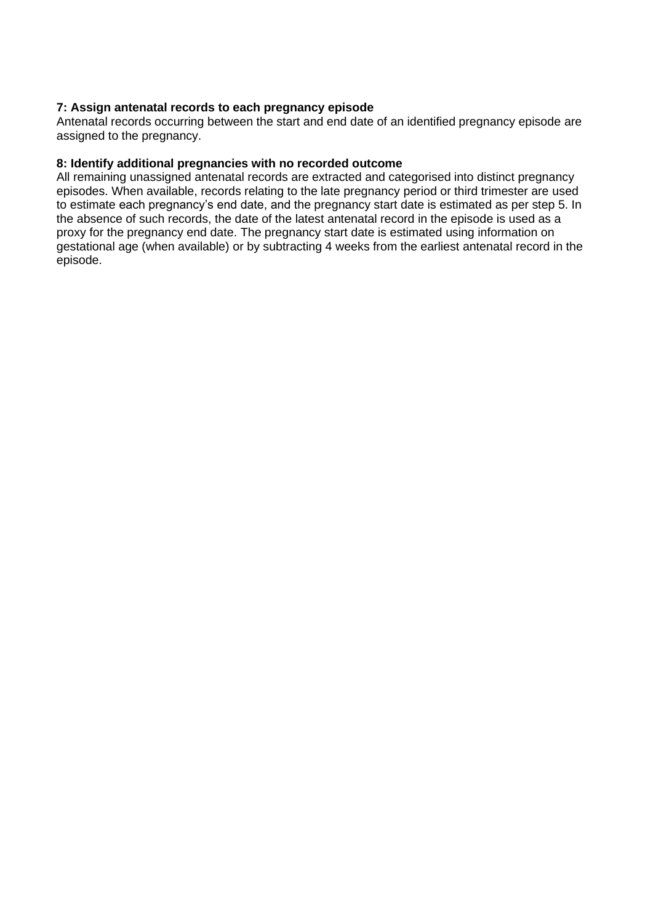# **7: Assign antenatal records to each pregnancy episode**

Antenatal records occurring between the start and end date of an identified pregnancy episode are assigned to the pregnancy.

## **8: Identify additional pregnancies with no recorded outcome**

All remaining unassigned antenatal records are extracted and categorised into distinct pregnancy episodes. When available, records relating to the late pregnancy period or third trimester are used to estimate each pregnancy's end date, and the pregnancy start date is estimated as per step 5. In the absence of such records, the date of the latest antenatal record in the episode is used as a proxy for the pregnancy end date. The pregnancy start date is estimated using information on gestational age (when available) or by subtracting 4 weeks from the earliest antenatal record in the episode.